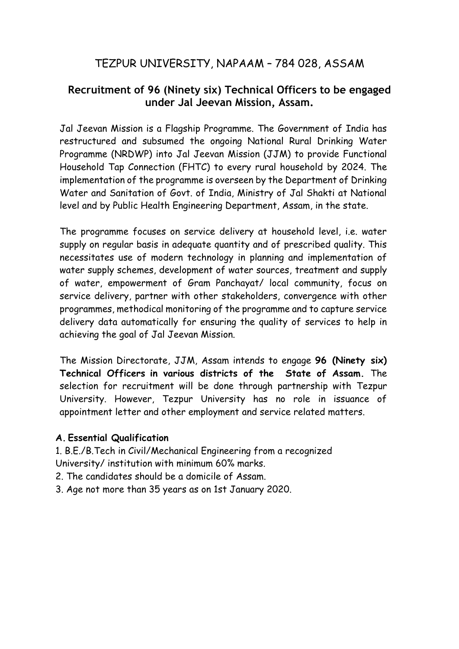# TEZPUR UNIVERSITY, NAPAAM – 784 028, ASSAM

# **Recruitment of 96 (Ninety six) Technical Officers to be engaged under Jal Jeevan Mission, Assam.**

Jal Jeevan Mission is a Flagship Programme. The Government of India has restructured and subsumed the ongoing National Rural Drinking Water Programme (NRDWP) into Jal Jeevan Mission (JJM) to provide Functional Household Tap Connection (FHTC) to every rural household by 2024. The implementation of the programme is overseen by the Department of Drinking Water and Sanitation of Govt. of India, Ministry of Jal Shakti at National level and by Public Health Engineering Department, Assam, in the state.

The programme focuses on service delivery at household level, i.e. water supply on regular basis in adequate quantity and of prescribed quality. This necessitates use of modern technology in planning and implementation of water supply schemes, development of water sources, treatment and supply of water, empowerment of Gram Panchayat/ local community, focus on service delivery, partner with other stakeholders, convergence with other programmes, methodical monitoring of the programme and to capture service delivery data automatically for ensuring the quality of services to help in achieving the goal of Jal Jeevan Mission.

The Mission Directorate, JJM, Assam intends to engage **96 (Ninety six) Technical Officers in various districts of the State of Assam.** The selection for recruitment will be done through partnership with Tezpur University. However, Tezpur University has no role in issuance of appointment letter and other employment and service related matters.

#### **A. Essential Qualification**

1. B.E./B.Tech in Civil/Mechanical Engineering from a recognized University/ institution with minimum 60% marks.

2. The candidates should be a domicile of Assam.

3. Age not more than 35 years as on 1st January 2020.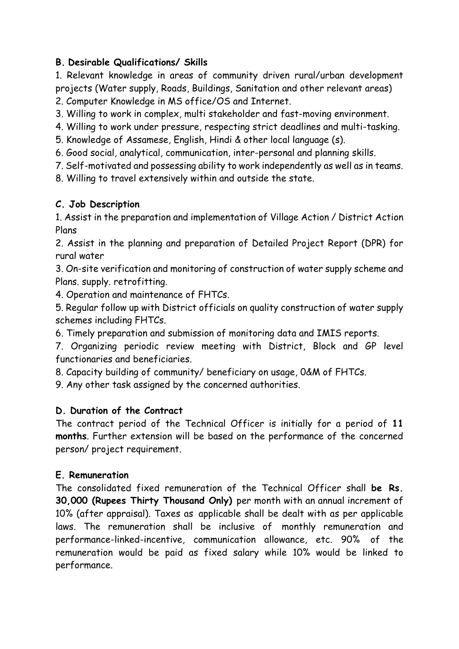# **B. Desirable Qualifications/ Skills**

1. Relevant knowledge in areas of community driven rural/urban development projects (Water supply, Roads, Buildings, Sanitation and other relevant areas)

2. Computer Knowledge in MS office/OS and Internet.

- 3. Willing to work in complex, multi stakeholder and fast-moving environment.
- 4. Willing to work under pressure, respecting strict deadlines and multi-tasking.
- 5. Knowledge of Assamese, English, Hindi & other local language (s).
- 6. Good social, analytical, communication, inter-personal and planning skills.
- 7. Self-motivated and possessing ability to work independently as well as in teams.
- 8. Willing to travel extensively within and outside the state.

# **C. Job Description**

1. Assist in the preparation and implementation of Village Action / District Action Plans

2. Assist in the planning and preparation of Detailed Project Report (DPR) for rural water

3. On-site verification and monitoring of construction of water supply scheme and Plans. supply. retrofitting.

4. Operation and maintenance of FHTCs.

5. Regular follow up with District officials on quality construction of water supply schemes including FHTCs.

6. Timely preparation and submission of monitoring data and IMIS reports.

7. Organizing periodic review meeting with District, Block and GP level functionaries and beneficiaries.

8. Capacity building of community/ beneficiary on usage, 0&M of FHTCs.

9. Any other task assigned by the concerned authorities.

# **D. Duration of the Contract**

The contract period of the Technical Officer is initially for a period of **11 months**. Further extension will be based on the performance of the concerned person/ project requirement.

# **E. Remuneration**

The consolidated fixed remuneration of the Technical Officer shall **be Rs. 30,000 (Rupees Thirty Thousand Only)** per month with an annual increment of 10% (after appraisal). Taxes as applicable shall be dealt with as per applicable laws. The remuneration shall be inclusive of monthly remuneration and performance-linked-incentive, communication allowance, etc. 90% of the remuneration would be paid as fixed salary while 10% would be linked to performance.